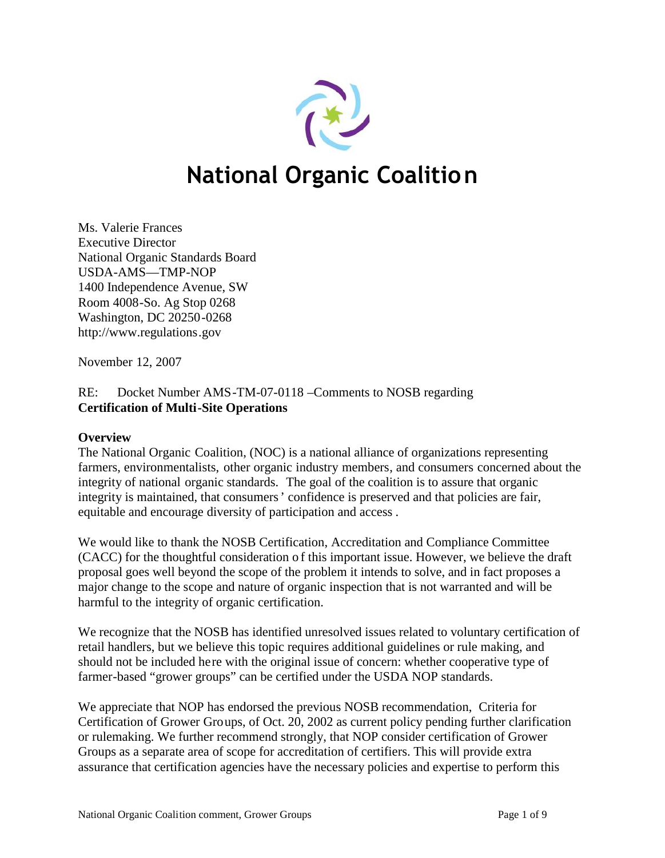

# **National Organic Coalition**

Ms. Valerie Frances Executive Director National Organic Standards Board USDA-AMS—TMP-NOP 1400 Independence Avenue, SW Room 4008-So. Ag Stop 0268 Washington, DC 20250-0268 http://www.regulations[.gov](http://www.regulations.gov)

November 12, 2007

RE: Docket Number AMS-TM-07-0118 –Comments to NOSB regarding **Certification of Multi-Site Operations**

# **Overview**

The National Organic Coalition, (NOC) is a national alliance of organizations representing farmers, environmentalists, other organic industry members, and consumers concerned about the integrity of national organic standards. The goal of the coalition is to assure that organic integrity is maintained, that consumers' confidence is preserved and that policies are fair, equitable and encourage diversity of participation and access .

We would like to thank the NOSB Certification, Accreditation and Compliance Committee (CACC) for the thoughtful consideration o f this important issue. However, we believe the draft proposal goes well beyond the scope of the problem it intends to solve, and in fact proposes a major change to the scope and nature of organic inspection that is not warranted and will be harmful to the integrity of organic certification.

We recognize that the NOSB has identified unresolved issues related to voluntary certification of retail handlers, but we believe this topic requires additional guidelines or rule making, and should not be included here with the original issue of concern: whether cooperative type of farmer-based "grower groups" can be certified under the USDA NOP standards.

We appreciate that NOP has endorsed the previous NOSB recommendation, Criteria for Certification of Grower Groups, of Oct. 20, 2002 as current policy pending further clarification or rulemaking. We further recommend strongly, that NOP consider certification of Grower Groups as a separate area of scope for accreditation of certifiers. This will provide extra assurance that certification agencies have the necessary policies and expertise to perform this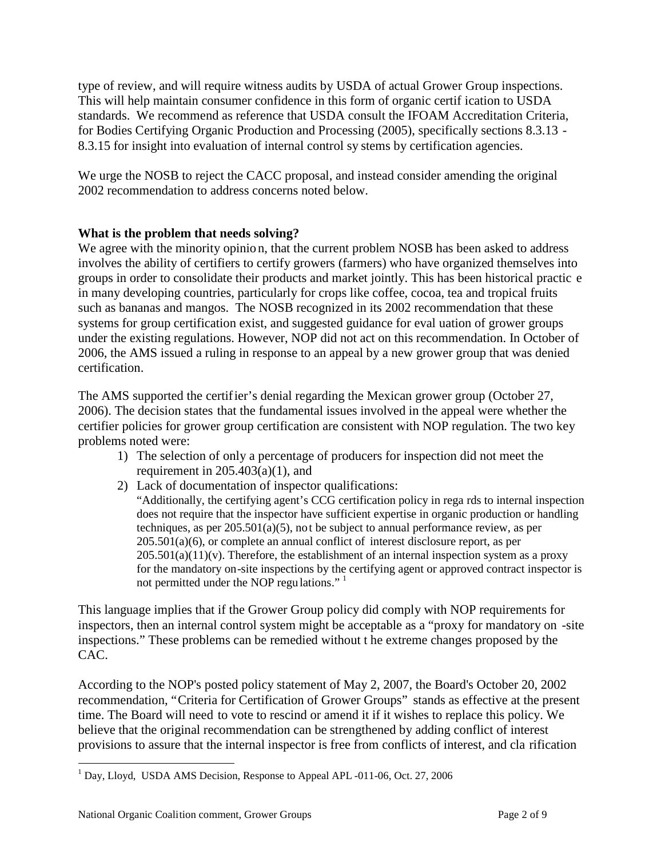type of review, and will require witness audits by USDA of actual Grower Group inspections. This will help maintain consumer confidence in this form of organic certif ication to USDA standards. We recommend as reference that USDA consult the IFOAM Accreditation Criteria, for Bodies Certifying Organic Production and Processing (2005), specifically sections 8.3.13 - 8.3.15 for insight into evaluation of internal control sy stems by certification agencies.

We urge the NOSB to reject the CACC proposal, and instead consider amending the original 2002 recommendation to address concerns noted below.

# **What is the problem that needs solving?**

We agree with the minority opinion, that the current problem NOSB has been asked to address involves the ability of certifiers to certify growers (farmers) who have organized themselves into groups in order to consolidate their products and market jointly. This has been historical practic e in many developing countries, particularly for crops like coffee, cocoa, tea and tropical fruits such as bananas and mangos. The NOSB recognized in its 2002 recommendation that these systems for group certification exist, and suggested guidance for eval uation of grower groups under the existing regulations. However, NOP did not act on this recommendation. In October of 2006, the AMS issued a ruling in response to an appeal by a new grower group that was denied certification.

The AMS supported the certifier's denial regarding the Mexican grower group (October 27, 2006). The decision states that the fundamental issues involved in the appeal were whether the certifier policies for grower group certification are consistent with NOP regulation. The two key problems noted were:

- 1) The selection of only a percentage of producers for inspection did not meet the requirement in  $205.403(a)(1)$ , and
- 2) Lack of documentation of inspector qualifications: "Additionally, the certifying agent's CCG certification policy in rega rds to internal inspection does not require that the inspector have sufficient expertise in organic production or handling techniques, as per 205.501(a)(5), not be subject to annual performance review, as per 205.501(a)(6), or complete an annual conflict of interest disclosure report, as per  $205.501(a)(1)(v)$ . Therefore, the establishment of an internal inspection system as a proxy for the mandatory on-site inspections by the certifying agent or approved contract inspector is not permitted under the NOP regulations."

This language implies that if the Grower Group policy did comply with NOP requirements for inspectors, then an internal control system might be acceptable as a "proxy for mandatory on -site inspections." These problems can be remedied without t he extreme changes proposed by the CAC.

According to the NOP's posted policy statement of May 2, 2007, the Board's October 20, 2002 recommendation, "Criteria for Certification of Grower Groups" stands as effective at the present time. The Board will need to vote to rescind or amend it if it wishes to replace this policy. We believe that the original recommendation can be strengthened by adding conflict of interest provisions to assure that the internal inspector is free from conflicts of interest, and cla rification

<sup>&</sup>lt;sup>1</sup> Day, Lloyd, USDA AMS Decision, Response to Appeal APL -011-06, Oct. 27, 2006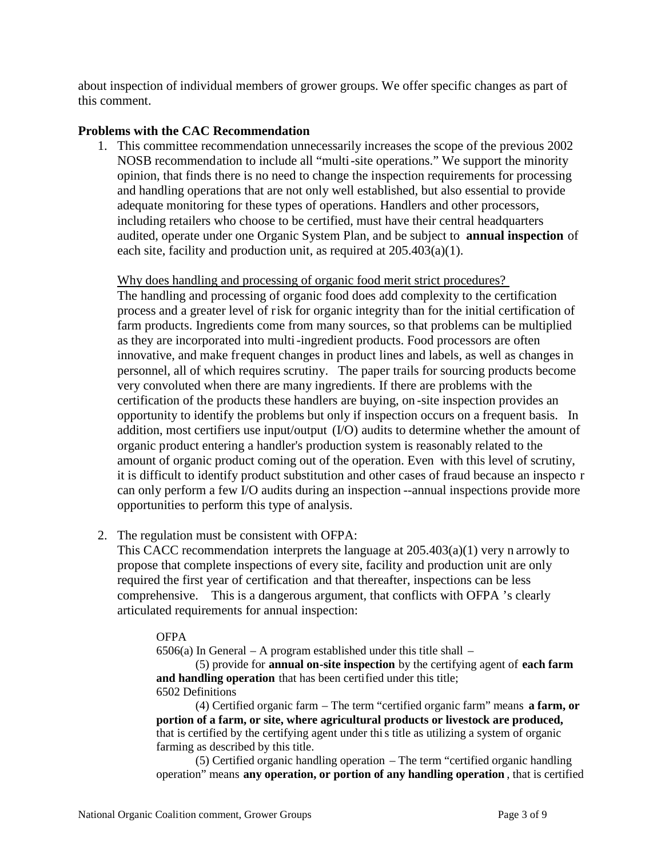about inspection of individual members of grower groups. We offer specific changes as part of this comment.

## **Problems with the CAC Recommendation**

1. This committee recommendation unnecessarily increases the scope of the previous 2002 NOSB recommendation to include all "multi-site operations." We support the minority opinion, that finds there is no need to change the inspection requirements for processing and handling operations that are not only well established, but also essential to provide adequate monitoring for these types of operations. Handlers and other processors, including retailers who choose to be certified, must have their central headquarters audited, operate under one Organic System Plan, and be subject to **annual inspection** of each site, facility and production unit, as required at 205.403(a)(1).

Why does handling and processing of organic food merit strict procedures? The handling and processing of organic food does add complexity to the certification process and a greater level of risk for organic integrity than for the initial certification of farm products. Ingredients come from many sources, so that problems can be multiplied as they are incorporated into multi-ingredient products. Food processors are often innovative, and make frequent changes in product lines and labels, as well as changes in personnel, all of which requires scrutiny. The paper trails for sourcing products become very convoluted when there are many ingredients. If there are problems with the certification of the products these handlers are buying, on -site inspection provides an opportunity to identify the problems but only if inspection occurs on a frequent basis. In addition, most certifiers use input/output (I/O) audits to determine whether the amount of organic product entering a handler's production system is reasonably related to the amount of organic product coming out of the operation. Even with this level of scrutiny, it is difficult to identify product substitution and other cases of fraud because an inspecto r can only perform a few I/O audits during an inspection --annual inspections provide more opportunities to perform this type of analysis.

2. The regulation must be consistent with OFPA:

This CACC recommendation interprets the language at 205.403(a)(1) very n arrowly to propose that complete inspections of every site, facility and production unit are only required the first year of certification and that thereafter, inspections can be less comprehensive. This is a dangerous argument, that conflicts with OFPA 's clearly articulated requirements for annual inspection:

### **OFPA**

 $6506(a)$  In General – A program established under this title shall –

(5) provide for **annual on-site inspection** by the certifying agent of **each farm and handling operation** that has been certified under this title; 6502 Definitions

(4) Certified organic farm – The term "certified organic farm" means **a farm, or portion of a farm, or site, where agricultural products or livestock are produced,** that is certified by the certifying agent under this title as utilizing a system of organic farming as described by this title.

(5) Certified organic handling operation – The term "certified organic handling operation" means **any operation, or portion of any handling operation** , that is certified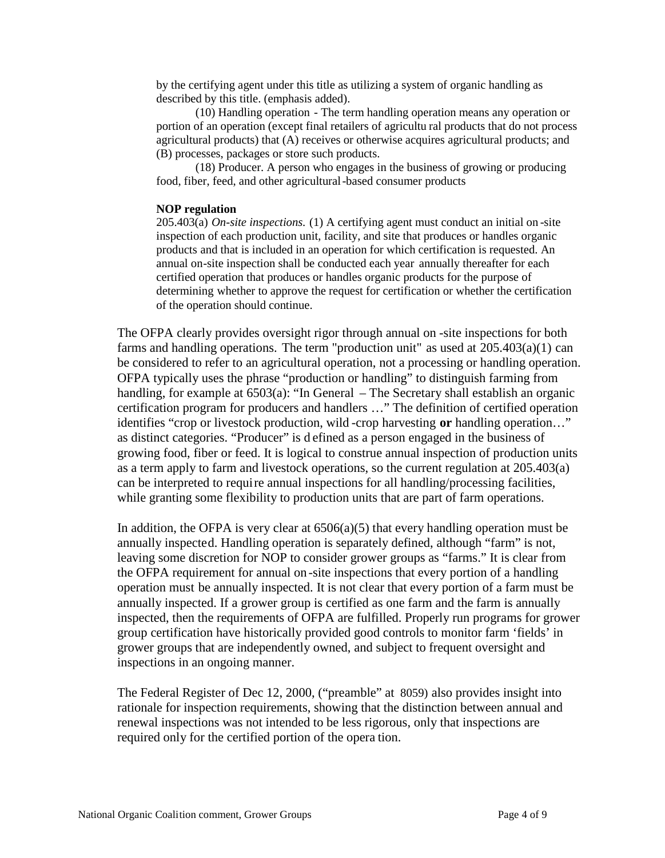by the certifying agent under this title as utilizing a system of organic handling as described by this title. (emphasis added).

(10) Handling operation - The term handling operation means any operation or portion of an operation (except final retailers of agricultu ral products that do not process agricultural products) that (A) receives or otherwise acquires agricultural products; and (B) processes, packages or store such products.

(18) Producer. A person who engages in the business of growing or producing food, fiber, feed, and other agricultural-based consumer products

#### **NOP regulation**

205.403(a) *On-site inspections.* (1) A certifying agent must conduct an initial on -site inspection of each production unit, facility, and site that produces or handles organic products and that is included in an operation for which certification is requested. An annual on-site inspection shall be conducted each year annually thereafter for each certified operation that produces or handles organic products for the purpose of determining whether to approve the request for certification or whether the certification of the operation should continue.

The OFPA clearly provides oversight rigor through annual on -site inspections for both farms and handling operations. The term "production unit" as used at 205.403(a)(1) can be considered to refer to an agricultural operation, not a processing or handling operation. OFPA typically uses the phrase "production or handling" to distinguish farming from handling, for example at 6503(a): "In General – The Secretary shall establish an organic certification program for producers and handlers …" The definition of certified operation identifies "crop or livestock production, wild -crop harvesting **or** handling operation…" as distinct categories. "Producer" is d efined as a person engaged in the business of growing food, fiber or feed. It is logical to construe annual inspection of production units as a term apply to farm and livestock operations, so the current regulation at 205.403(a) can be interpreted to require annual inspections for all handling/processing facilities, while granting some flexibility to production units that are part of farm operations.

In addition, the OFPA is very clear at  $6506(a)(5)$  that every handling operation must be annually inspected. Handling operation is separately defined, although "farm" is not, leaving some discretion for NOP to consider grower groups as "farms." It is clear from the OFPA requirement for annual on -site inspections that every portion of a handling operation must be annually inspected. It is not clear that every portion of a farm must be annually inspected. If a grower group is certified as one farm and the farm is annually inspected, then the requirements of OFPA are fulfilled. Properly run programs for grower group certification have historically provided good controls to monitor farm 'fields' in grower groups that are independently owned, and subject to frequent oversight and inspections in an ongoing manner.

The Federal Register of Dec 12, 2000, ("preamble" at 8059) also provides insight into rationale for inspection requirements, showing that the distinction between annual and renewal inspections was not intended to be less rigorous, only that inspections are required only for the certified portion of the opera tion.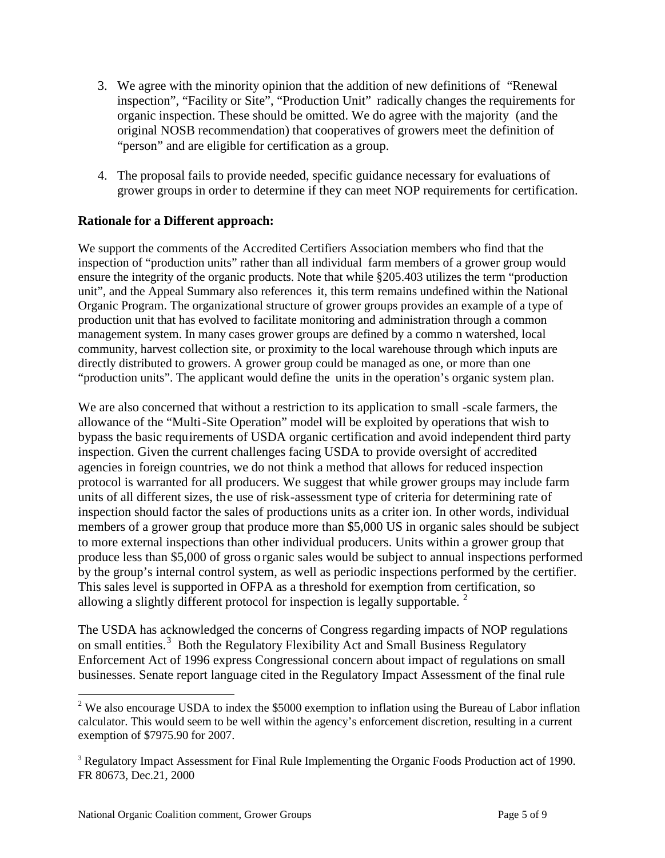- 3. We agree with the minority opinion that the addition of new definitions of "Renewal inspection", "Facility or Site", "Production Unit" radically changes the requirements for organic inspection. These should be omitted. We do agree with the majority (and the original NOSB recommendation) that cooperatives of growers meet the definition of "person" and are eligible for certification as a group.
- 4. The proposal fails to provide needed, specific guidance necessary for evaluations of grower groups in order to determine if they can meet NOP requirements for certification.

## **Rationale for a Different approach:**

We support the comments of the Accredited Certifiers Association members who find that the inspection of "production units" rather than all individual farm members of a grower group would ensure the integrity of the organic products. Note that while §205.403 utilizes the term "production unit", and the Appeal Summary also references it, this term remains undefined within the National Organic Program. The organizational structure of grower groups provides an example of a type of production unit that has evolved to facilitate monitoring and administration through a common management system. In many cases grower groups are defined by a commo n watershed, local community, harvest collection site, or proximity to the local warehouse through which inputs are directly distributed to growers. A grower group could be managed as one, or more than one "production units". The applicant would define the units in the operation's organic system plan.

We are also concerned that without a restriction to its application to small -scale farmers, the allowance of the "Multi-Site Operation" model will be exploited by operations that wish to bypass the basic requirements of USDA organic certification and avoid independent third party inspection. Given the current challenges facing USDA to provide oversight of accredited agencies in foreign countries, we do not think a method that allows for reduced inspection protocol is warranted for all producers. We suggest that while grower groups may include farm units of all different sizes, the use of risk-assessment type of criteria for determining rate of inspection should factor the sales of productions units as a criter ion. In other words, individual members of a grower group that produce more than \$5,000 US in organic sales should be subject to more external inspections than other individual producers. Units within a grower group that produce less than \$5,000 of gross o rganic sales would be subject to annual inspections performed by the group's internal control system, as well as periodic inspections performed by the certifier. This sales level is supported in OFPA as a threshold for exemption from certification, so allowing a slightly different protocol for inspection is legally supportable.  $2^2$ 

The USDA has acknowledged the concerns of Congress regarding impacts of NOP regulations on small entities.<sup>3</sup> Both the Regulatory Flexibility Act and Small Business Regulatory Enforcement Act of 1996 express Congressional concern about impact of regulations on small businesses. Senate report language cited in the Regulatory Impact Assessment of the final rule

<sup>&</sup>lt;sup>2</sup> We also encourage USDA to index the \$5000 exemption to inflation using the Bureau of Labor inflation calculator. This would seem to be well within the agency's enforcement discretion, resulting in a current exemption of \$7975.90 for 2007.

<sup>&</sup>lt;sup>3</sup> Regulatory Impact Assessment for Final Rule Implementing the Organic Foods Production act of 1990. FR 80673, Dec.21, 2000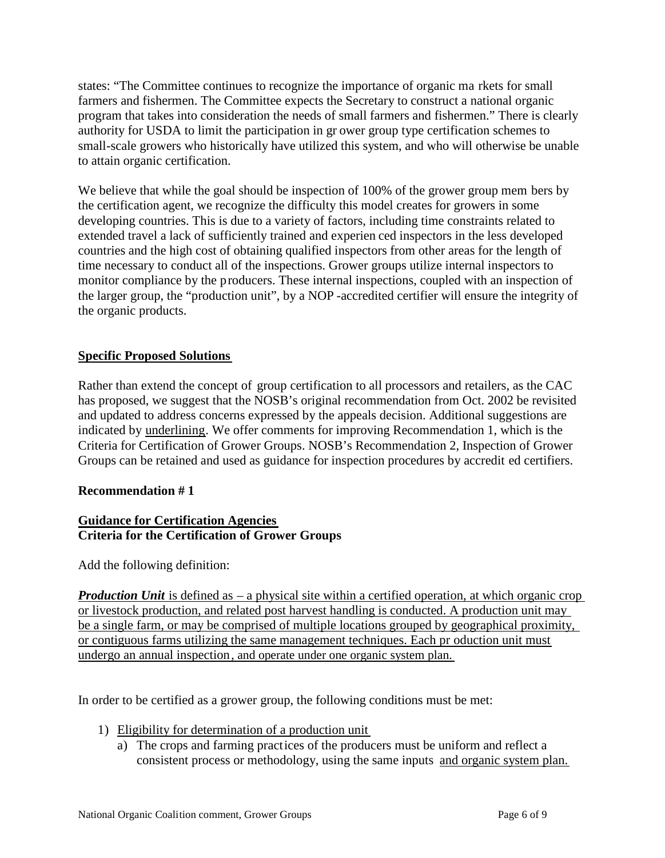states: "The Committee continues to recognize the importance of organic ma rkets for small farmers and fishermen. The Committee expects the Secretary to construct a national organic program that takes into consideration the needs of small farmers and fishermen." There is clearly authority for USDA to limit the participation in gr ower group type certification schemes to small-scale growers who historically have utilized this system, and who will otherwise be unable to attain organic certification.

We believe that while the goal should be inspection of 100% of the grower group mem bers by the certification agent, we recognize the difficulty this model creates for growers in some developing countries. This is due to a variety of factors, including time constraints related to extended travel a lack of sufficiently trained and experien ced inspectors in the less developed countries and the high cost of obtaining qualified inspectors from other areas for the length of time necessary to conduct all of the inspections. Grower groups utilize internal inspectors to monitor compliance by the producers. These internal inspections, coupled with an inspection of the larger group, the "production unit", by a NOP -accredited certifier will ensure the integrity of the organic products.

# **Specific Proposed Solutions**

Rather than extend the concept of group certification to all processors and retailers, as the CAC has proposed, we suggest that the NOSB's original recommendation from Oct. 2002 be revisited and updated to address concerns expressed by the appeals decision. Additional suggestions are indicated by underlining. We offer comments for improving Recommendation 1, which is the Criteria for Certification of Grower Groups. NOSB's Recommendation 2, Inspection of Grower Groups can be retained and used as guidance for inspection procedures by accredit ed certifiers.

# **Recommendation # 1**

## **Guidance for Certification Agencies Criteria for the Certification of Grower Groups**

Add the following definition:

*Production Unit* is defined as – a physical site within a certified operation, at which organic crop or livestock production, and related post harvest handling is conducted. A production unit may be a single farm, or may be comprised of multiple locations grouped by geographical proximity, or contiguous farms utilizing the same management techniques. Each pr oduction unit must undergo an annual inspection, and operate under one organic system plan.

In order to be certified as a grower group, the following conditions must be met:

- 1) Eligibility for determination of a production unit
	- a) The crops and farming practices of the producers must be uniform and reflect a consistent process or methodology, using the same inputs and organic system plan.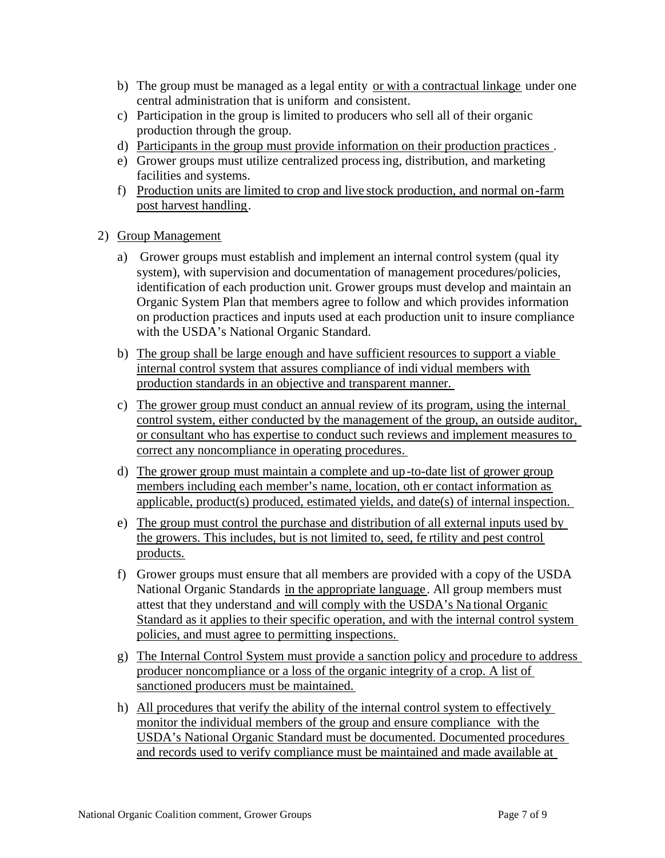- b) The group must be managed as a legal entity or with a contractual linkage under one central administration that is uniform and consistent.
- c) Participation in the group is limited to producers who sell all of their organic production through the group.
- d) Participants in the group must provide information on their production practices .
- e) Grower groups must utilize centralized processing, distribution, and marketing facilities and systems.
- f) Production units are limited to crop and live stock production, and normal on-farm post harvest handling.
- 2) Group Management
	- a) Grower groups must establish and implement an internal control system (qual ity system), with supervision and documentation of management procedures/policies, identification of each production unit. Grower groups must develop and maintain an Organic System Plan that members agree to follow and which provides information on production practices and inputs used at each production unit to insure compliance with the USDA's National Organic Standard.
	- b) The group shall be large enough and have sufficient resources to support a viable internal control system that assures compliance of indi vidual members with production standards in an objective and transparent manner.
	- c) The grower group must conduct an annual review of its program, using the internal control system, either conducted by the management of the group, an outside auditor, or consultant who has expertise to conduct such reviews and implement measures to correct any noncompliance in operating procedures.
	- d) The grower group must maintain a complete and up-to-date list of grower group members including each member's name, location, oth er contact information as applicable, product(s) produced, estimated yields, and date(s) of internal inspection.
	- e) The group must control the purchase and distribution of all external inputs used by the growers. This includes, but is not limited to, seed, fe rtility and pest control products.
	- f) Grower groups must ensure that all members are provided with a copy of the USDA National Organic Standards in the appropriate language. All group members must attest that they understand and will comply with the USDA's Na tional Organic Standard as it applies to their specific operation, and with the internal control system policies, and must agree to permitting inspections.
	- g) The Internal Control System must provide a sanction policy and procedure to address producer noncompliance or a loss of the organic integrity of a crop. A list of sanctioned producers must be maintained.
	- h) All procedures that verify the ability of the internal control system to effectively monitor the individual members of the group and ensure compliance with the USDA's National Organic Standard must be documented. Documented procedures and records used to verify compliance must be maintained and made available at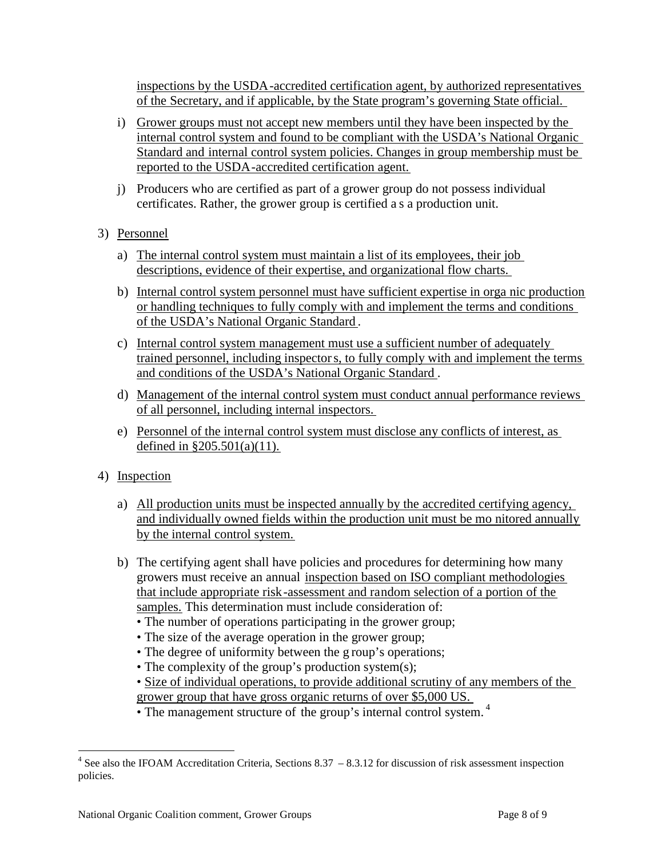inspections by the USDA-accredited certification agent, by authorized representatives of the Secretary, and if applicable, by the State program's governing State official.

- i) Grower groups must not accept new members until they have been inspected by the internal control system and found to be compliant with the USDA's National Organic Standard and internal control system policies. Changes in group membership must be reported to the USDA-accredited certification agent.
- j) Producers who are certified as part of a grower group do not possess individual certificates. Rather, the grower group is certified a s a production unit.
- 3) Personnel
	- a) The internal control system must maintain a list of its employees, their job descriptions, evidence of their expertise, and organizational flow charts.
	- b) Internal control system personnel must have sufficient expertise in orga nic production or handling techniques to fully comply with and implement the terms and conditions of the USDA's National Organic Standard .
	- c) Internal control system management must use a sufficient number of adequately trained personnel, including inspectors, to fully comply with and implement the terms and conditions of the USDA's National Organic Standard .
	- d) Management of the internal control system must conduct annual performance reviews of all personnel, including internal inspectors.
	- e) Personnel of the internal control system must disclose any conflicts of interest, as defined in §205.501(a)(11).
- 4) Inspection
	- a) All production units must be inspected annually by the accredited certifying agency, and individually owned fields within the production unit must be mo nitored annually by the internal control system.
	- b) The certifying agent shall have policies and procedures for determining how many growers must receive an annual inspection based on ISO compliant methodologies that include appropriate risk-assessment and random selection of a portion of the samples. This determination must include consideration of:
		- The number of operations participating in the grower group;
		- The size of the average operation in the grower group;
		- The degree of uniformity between the g roup's operations;
		- The complexity of the group's production system(s);
		- Size of individual operations, to provide additional scrutiny of any members of the grower group that have gross organic returns of over \$5,000 US.
		- The management structure of the group's internal control system.<sup>4</sup>

 $4$  See also the IFOAM Accreditation Criteria, Sections 8.37  $-8.3.12$  for discussion of risk assessment inspection policies.